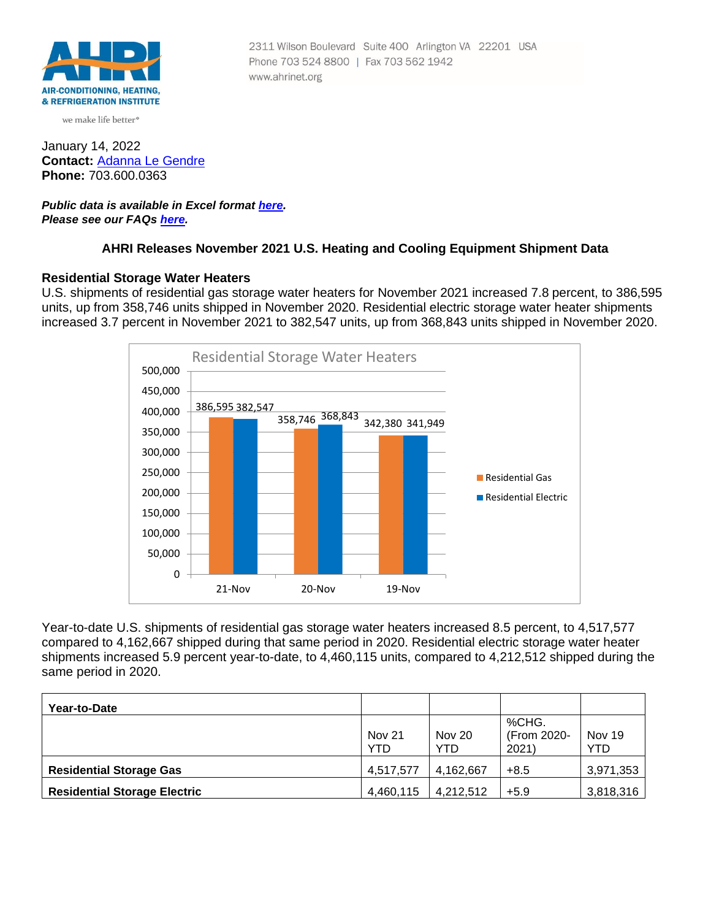

we make life better<sup>®</sup>

January 14, 2022 **Contact:** [Adanna Le Gendre](mailto:AleGendre@ahrinet.org) **Phone:** 703.600.0363

## *Public data is available in Excel format [here](https://ahrinet.org/Portals/Reports/November%202021%20Numbers.xls). Please see our FAQs [here.](#page-4-0)*

# **AHRI Releases November 2021 U.S. Heating and Cooling Equipment Shipment Data**

### **Residential Storage Water Heaters**

U.S. shipments of residential gas storage water heaters for November 2021 increased 7.8 percent, to 386,595 units, up from 358,746 units shipped in November 2020. Residential electric storage water heater shipments increased 3.7 percent in November 2021 to 382,547 units, up from 368,843 units shipped in November 2020.



Year-to-date U.S. shipments of residential gas storage water heaters increased 8.5 percent, to 4,517,577 compared to 4,162,667 shipped during that same period in 2020. Residential electric storage water heater shipments increased 5.9 percent year-to-date, to 4,460,115 units, compared to 4,212,512 shipped during the same period in 2020.

| Year-to-Date                        |                      |                      |                               |                      |
|-------------------------------------|----------------------|----------------------|-------------------------------|----------------------|
|                                     | <b>Nov 21</b><br>YTD | <b>Nov 20</b><br>YTD | %CHG.<br>(From 2020-<br>2021) | Nov 19<br><b>YTD</b> |
| <b>Residential Storage Gas</b>      | 4,517,577            | 4,162,667            | $+8.5$                        | 3,971,353            |
| <b>Residential Storage Electric</b> | 4,460,115            | 4,212,512            | $+5.9$                        | 3,818,316            |

2311 Wilson Boulevard Suite 400 Arlington VA 22201 USA Phone 703 524 8800 | Fax 703 562 1942 www.ahrinet.org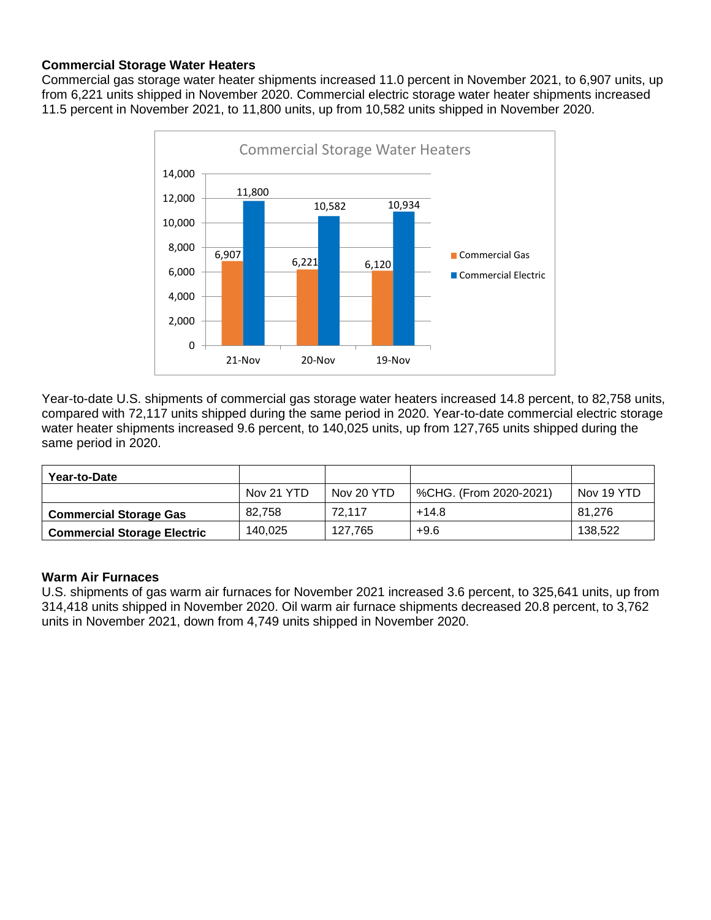# **Commercial Storage Water Heaters**

Commercial gas storage water heater shipments increased 11.0 percent in November 2021, to 6,907 units, up from 6,221 units shipped in November 2020. Commercial electric storage water heater shipments increased 11.5 percent in November 2021, to 11,800 units, up from 10,582 units shipped in November 2020.



Year-to-date U.S. shipments of commercial gas storage water heaters increased 14.8 percent, to 82,758 units, compared with 72,117 units shipped during the same period in 2020. Year-to-date commercial electric storage water heater shipments increased 9.6 percent, to 140,025 units, up from 127,765 units shipped during the same period in 2020.

| Year-to-Date                       |            |            |                        |            |
|------------------------------------|------------|------------|------------------------|------------|
|                                    | Nov 21 YTD | Nov 20 YTD | %CHG. (From 2020-2021) | Nov 19 YTD |
| <b>Commercial Storage Gas</b>      | 82.758     | 72.117     | $+14.8$                | 81.276     |
| <b>Commercial Storage Electric</b> | 140.025    | 127.765    | $+9.6$                 | 138.522    |

# **Warm Air Furnaces**

U.S. shipments of gas warm air furnaces for November 2021 increased 3.6 percent, to 325,641 units, up from 314,418 units shipped in November 2020. Oil warm air furnace shipments decreased 20.8 percent, to 3,762 units in November 2021, down from 4,749 units shipped in November 2020.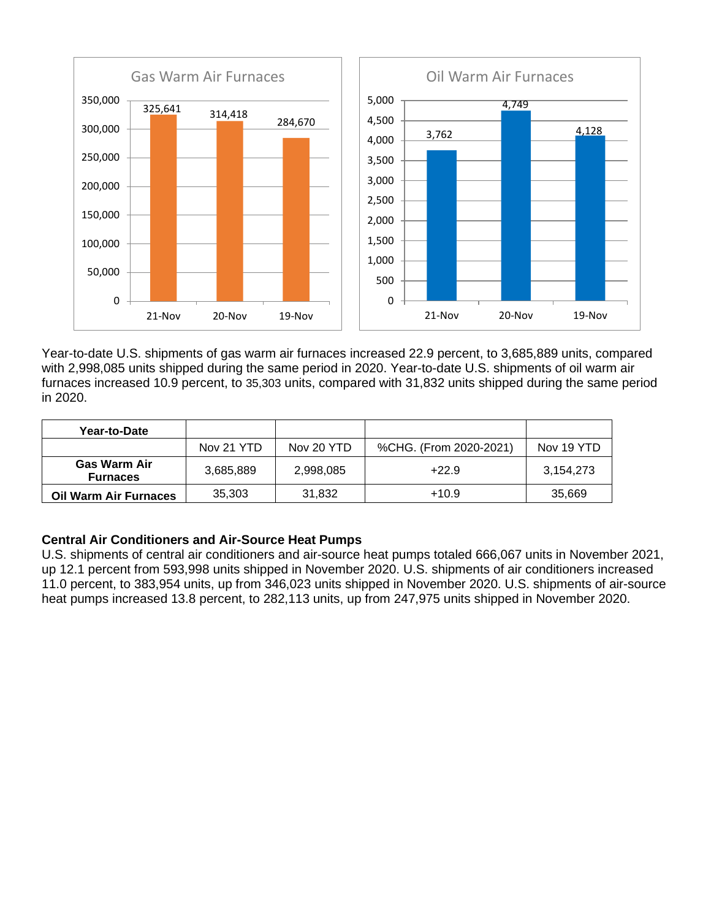

Year-to-date U.S. shipments of gas warm air furnaces increased 22.9 percent, to 3,685,889 units, compared with 2,998,085 units shipped during the same period in 2020. Year-to-date U.S. shipments of oil warm air furnaces increased 10.9 percent, to 35,303 units, compared with 31,832 units shipped during the same period in 2020.

| Year-to-Date                           |            |            |                        |            |
|----------------------------------------|------------|------------|------------------------|------------|
|                                        | Nov 21 YTD | Nov 20 YTD | %CHG. (From 2020-2021) | Nov 19 YTD |
| <b>Gas Warm Air</b><br><b>Furnaces</b> | 3,685,889  | 2,998,085  | $+22.9$                | 3.154.273  |
| <b>Oil Warm Air Furnaces</b>           | 35,303     | 31,832     | $+10.9$                | 35,669     |

# **Central Air Conditioners and Air-Source Heat Pumps**

U.S. shipments of central air conditioners and air-source heat pumps totaled 666,067 units in November 2021, up 12.1 percent from 593,998 units shipped in November 2020. U.S. shipments of air conditioners increased 11.0 percent, to 383,954 units, up from 346,023 units shipped in November 2020. U.S. shipments of air-source heat pumps increased 13.8 percent, to 282,113 units, up from 247,975 units shipped in November 2020.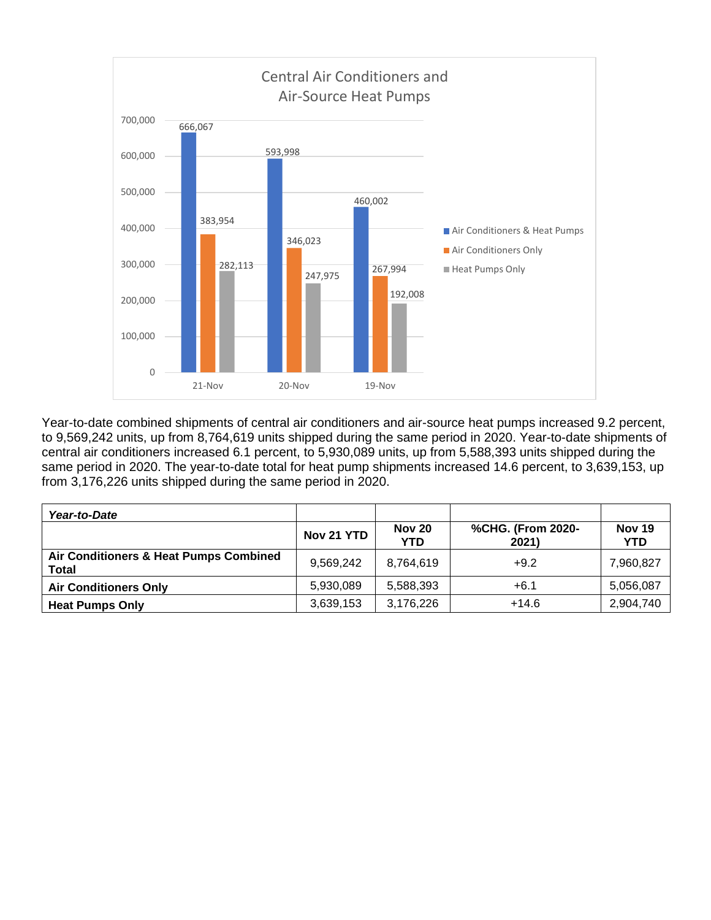

Year-to-date combined shipments of central air conditioners and air-source heat pumps increased 9.2 percent, to 9,569,242 units, up from 8,764,619 units shipped during the same period in 2020. Year-to-date shipments of central air conditioners increased 6.1 percent, to 5,930,089 units, up from 5,588,393 units shipped during the same period in 2020. The year-to-date total for heat pump shipments increased 14.6 percent, to 3,639,153, up from 3,176,226 units shipped during the same period in 2020.

| Year-to-Date                                           |            |                             |                            |                             |
|--------------------------------------------------------|------------|-----------------------------|----------------------------|-----------------------------|
|                                                        | Nov 21 YTD | <b>Nov 20</b><br><b>YTD</b> | %CHG. (From 2020-<br>2021) | <b>Nov 19</b><br><b>YTD</b> |
| Air Conditioners & Heat Pumps Combined<br><b>Total</b> | 9.569.242  | 8.764.619                   | $+9.2$                     | 7,960,827                   |
| <b>Air Conditioners Only</b>                           | 5,930,089  | 5,588,393                   | $+6.1$                     | 5,056,087                   |
| <b>Heat Pumps Only</b>                                 | 3,639,153  | 3,176,226                   | $+14.6$                    | 2,904,740                   |